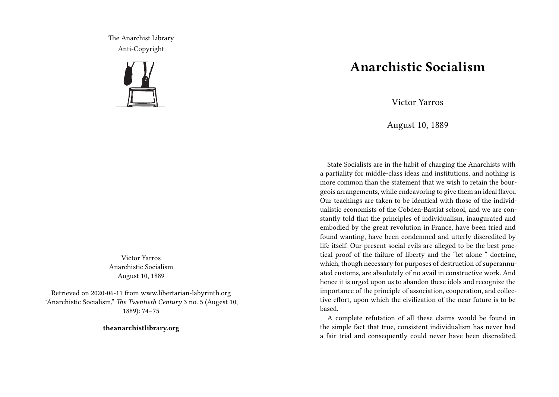The Anarchist Library Anti-Copyright



Victor Yarros Anarchistic Socialism August 10, 1889

Retrieved on 2020-06-11 from www.libertarian-labyrinth.org "Anarchistic Socialism," *The Twentieth Century* 3 no. 5 (Augest 10, 1889): 74–75

**theanarchistlibrary.org**

## **Anarchistic Socialism**

Victor Yarros

August 10, 1889

State Socialists are in the habit of charging the Anarchists with a partiality for middle-class ideas and institutions, and nothing is more common than the statement that we wish to retain the bourgeois arrangements, while endeavoring to give them an ideal flavor. Our teachings are taken to be identical with those of the individualistic economists of the Cobden-Bastiat school, and we are constantly told that the principles of individualism, inaugurated and embodied by the great revolution in France, have been tried and found wanting, have been condemned and utterly discredited by life itself. Our present social evils are alleged to be the best practical proof of the failure of liberty and the "let alone " doctrine, which, though necessary for purposes of destruction of superannuated customs, are absolutely of no avail in constructive work. And hence it is urged upon us to abandon these idols and recognize the importance of the principle of association, cooperation, and collective effort, upon which the civilization of the near future is to be based.

A complete refutation of all these claims would be found in the simple fact that true, consistent individualism has never had a fair trial and consequently could never have been discredited.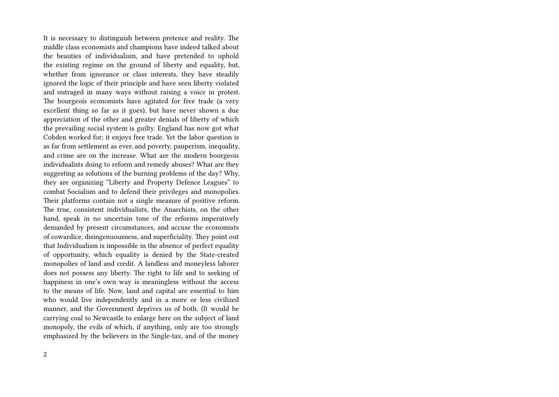It is necessary to distinguish between pretence and reality. The middle class economists and champions have indeed talked about the beauties of individualism, and have pretended to uphold the existing regime on the ground of liberty and equality, but, whether from ignorance or class interests, they have steadily ignored the logic of their principle and have seen liberty violated and outraged in many ways without raising a voice in protest. The bourgeois economists have agitated for free trade (a very excellent thing so far as it goes), but have never shown a due appreciation of the other and greater denials of liberty of which the prevailing social system is guilty. England has now got what Cobden worked for; it enjoys free trade. Yet the labor question is as far from settlement as ever, and poverty, pauperism, inequality, and crime are on the increase. What are the modern bourgeois individualists doing to reform and remedy abuses? What are they suggesting as solutions of the burning problems of the day? Why, they are organizing "Liberty and Property Defence Leagues" to combat Socialism and to defend their privileges and monopolies. Their platforms contain not a single measure of positive reform. The true, consistent individualists, the Anarchists, on the other hand, speak in no uncertain tone of the reforms imperatively demanded by present circumstances, and accuse the economists of cowardice, disingenuousness, and superficiality. They point out that Individualism is impossible in the absence of perfect equality of opportunity, which equality is denied by the State-created monopolies of land and credit. A landless and moneyless laborer does not possess any liberty. The right to life and to seeking of happiness in one's own way is meaningless without the access to the means of life. Now, land and capital are essential to him who would live independently and in a more or less civilized manner, and the Government deprives us of both. (It would be carrying coal to Newcastle to enlarge here on the subject of land monopoly, the evils of which, if anything, only are too strongly emphasized by the believers in the Single-tax, and of the money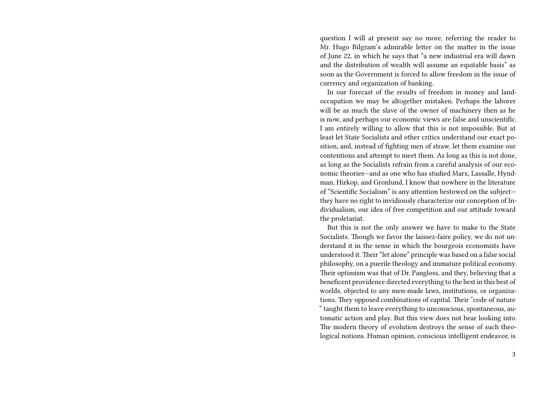question I will at present say no more, referring the reader to Mr. Hugo Bilgram's admirable letter on the matter in the issue of June 22, in which he says that "a new industrial era will dawn and the distribution of wealth will assume an equitable basis" as soon as the Government is forced to allow freedom in the issue of currency and organization of banking.

In our forecast of the results of freedom in money and landoccupation we may be altogether mistaken. Perhaps the laborer will be as much the slave of the owner of machinery then as he is now, and perhaps our economic views are false and unscientific. I am entirely willing to allow that this is not impossible. But at least let State Socialists and other critics understand our exact position, and, instead of fighting men of straw, let them examine our contentions and attempt to meet them. As long as this is not done, as long as the Socialists refrain from a careful analysis of our economic theories—and as one who has studied Marx, Lassalle, Hyndman, Hirkop, and Gronlund, I know that nowhere in the literature of "Scientific Socialism" is any attention bestowed on the subject they have no right to invidiously characterize our conception of Individualism, our idea of free competition and our attitude toward the proletariat.

But this is not the only answer we have to make to the State Socialists. Though we favor the laissez-faire policy, we do not understand it in the sense in which the bourgeois economists have understood it. Their "let alone" principle was based on a false social philosophy, on a puerile theology and immature political economy. Their optimism was that of Dr. Pangloss, and they, believing that a beneficent providence directed everything to the best in this best of worlds, objected to any men-made laws, institutions, or organizations. They opposed combinations of capital. Their "code of nature " taught them to leave everything to unconscious, spontaneous, automatic action and play. But this view does not bear looking into. The modern theory of evolution destroys the sense of such theological notions. Human opinion, conscious intelligent endeavor, is